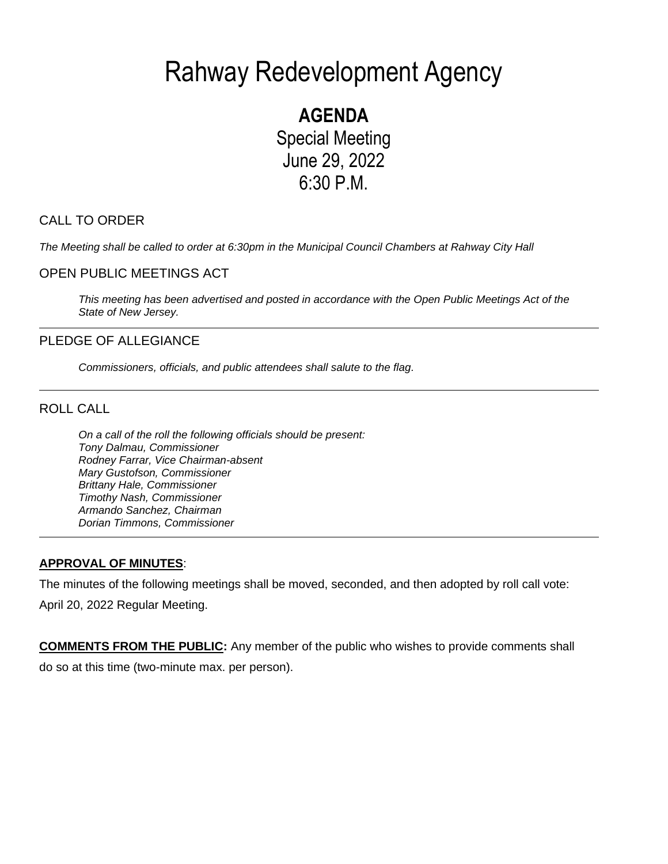# Rahway Redevelopment Agency

**AGENDA** Special Meeting June 29, 2022 6:30 P.M.

## CALL TO ORDER

*The Meeting shall be called to order at 6:30pm in the Municipal Council Chambers at Rahway City Hall*

## OPEN PUBLIC MEETINGS ACT

*This meeting has been advertised and posted in accordance with the Open Public Meetings Act of the State of New Jersey.*

## PLEDGE OF ALLEGIANCE

*Commissioners, officials, and public attendees shall salute to the flag.*

ROLL CALL

*On a call of the roll the following officials should be present: Tony Dalmau, Commissioner Rodney Farrar, Vice Chairman-absent Mary Gustofson, Commissioner Brittany Hale, Commissioner Timothy Nash, Commissioner Armando Sanchez, Chairman Dorian Timmons, Commissioner*

## **APPROVAL OF MINUTES**:

The minutes of the following meetings shall be moved, seconded, and then adopted by roll call vote: April 20, 2022 Regular Meeting.

**COMMENTS FROM THE PUBLIC:** Any member of the public who wishes to provide comments shall do so at this time (two-minute max. per person).